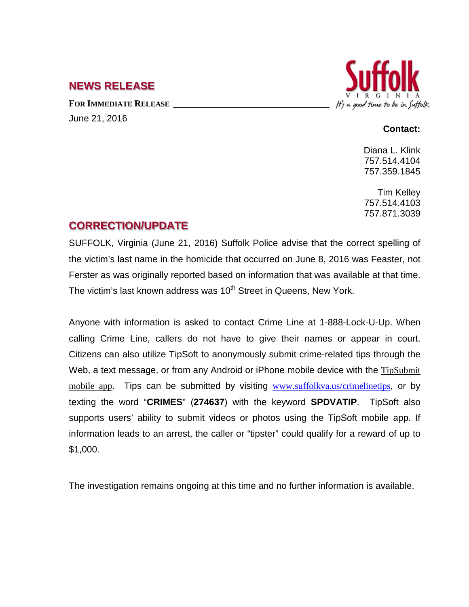## **NEWS RELEASE**

FOR **IMMEDIATE RELEASE** June 21, 2016



#### **Contact:**

Diana L. Klink 757.514.4104 757.359.1845

Tim Kelley 757.514.4103 757.871.3039

# **CORRECTION/UPDATE**

SUFFOLK, Virginia (June 21, 2016) Suffolk Police advise that the correct spelling of the victim's last name in the homicide that occurred on June 8, 2016 was Feaster, not Ferster as was originally reported based on information that was available at that time. The victim's last known address was 10<sup>th</sup> Street in Queens, New York.

Anyone with information is asked to contact Crime Line at 1-888-Lock-U-Up. When calling Crime Line, callers do not have to give their names or appear in court. Citizens can also utilize TipSoft to anonymously submit crime-related tips through the Web, a text message, or from any Android or iPhone mobile device with the [TipSubmit](http://www.tipsoft.com/index.asp?P=TipSubmitMobile)  [mobile app](http://www.tipsoft.com/index.asp?P=TipSubmitMobile). Tips can be submitted by visiting [www.suffolkva.us/crimelinetips](http://www.suffolkva.us/crimelinetips), or by texting the word "**CRIMES**" (**274637**) with the keyword **SPDVATIP**. TipSoft also supports users' ability to submit videos or photos using the TipSoft mobile app. If information leads to an arrest, the caller or "tipster" could qualify for a reward of up to \$1,000.

The investigation remains ongoing at this time and no further information is available.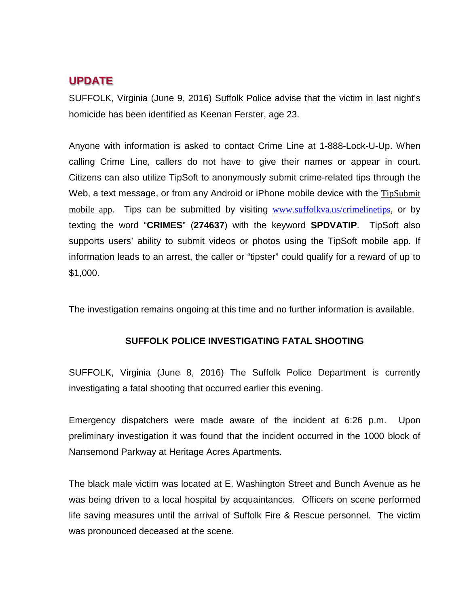### **UPDATE**

SUFFOLK, Virginia (June 9, 2016) Suffolk Police advise that the victim in last night's homicide has been identified as Keenan Ferster, age 23.

Anyone with information is asked to contact Crime Line at 1-888-Lock-U-Up. When calling Crime Line, callers do not have to give their names or appear in court. Citizens can also utilize TipSoft to anonymously submit crime-related tips through the Web, a text message, or from any Android or iPhone mobile device with the TipSubmit [mobile app](http://www.tipsoft.com/index.asp?P=TipSubmitMobile). Tips can be submitted by visiting [www.suffolkva.us/crimelinetips](http://www.suffolkva.us/crimelinetips), or by texting the word "**CRIMES**" (**274637**) with the keyword **SPDVATIP**. TipSoft also supports users' ability to submit videos or photos using the TipSoft mobile app. If information leads to an arrest, the caller or "tipster" could qualify for a reward of up to \$1,000.

The investigation remains ongoing at this time and no further information is available.

#### **SUFFOLK POLICE INVESTIGATING FATAL SHOOTING**

SUFFOLK, Virginia (June 8, 2016) The Suffolk Police Department is currently investigating a fatal shooting that occurred earlier this evening.

Emergency dispatchers were made aware of the incident at 6:26 p.m. Upon preliminary investigation it was found that the incident occurred in the 1000 block of Nansemond Parkway at Heritage Acres Apartments.

The black male victim was located at E. Washington Street and Bunch Avenue as he was being driven to a local hospital by acquaintances. Officers on scene performed life saving measures until the arrival of Suffolk Fire & Rescue personnel. The victim was pronounced deceased at the scene.